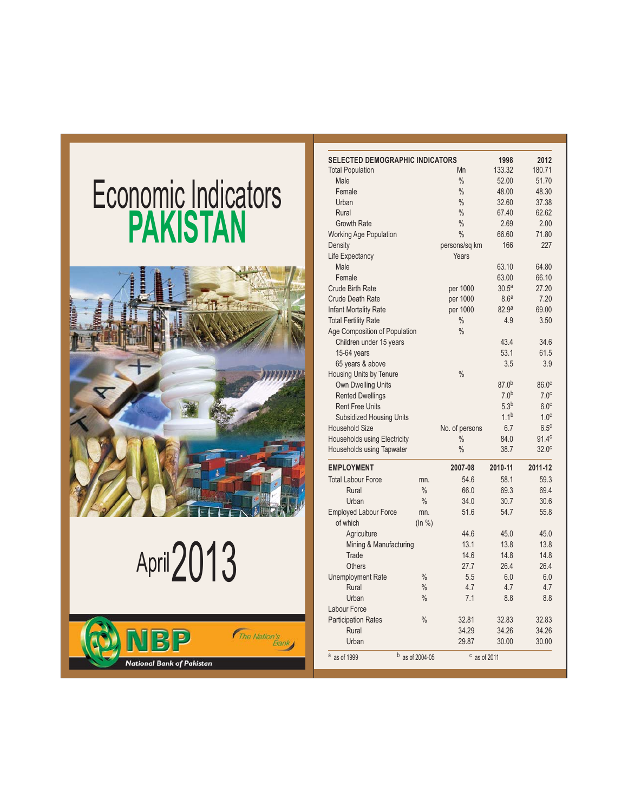## **Economic Indicators PAKISTAN**



# April 2013



| <b>SELECTED DEMOGRAPHIC INDICATORS</b> |                   | Mn                   | 1998<br>133.32    | 2012<br>180.71    |
|----------------------------------------|-------------------|----------------------|-------------------|-------------------|
| <b>Total Population</b><br>Male        |                   | $\frac{0}{0}$        |                   |                   |
|                                        |                   |                      | 52.00             | 51.70             |
| Female                                 |                   | $\frac{0}{0}$        | 48.00             | 48.30             |
| Urban                                  |                   | $\frac{0}{0}$        | 32.60             | 37.38             |
| Rural                                  |                   | $\frac{0}{0}$        | 67.40             | 62.62             |
| <b>Growth Rate</b>                     |                   | $\frac{0}{0}$        | 2.69              | 2.00              |
| <b>Working Age Population</b>          |                   | $\frac{0}{0}$        | 66.60             | 71.80             |
| Density                                |                   | persons/sq km        | 166               | 227               |
| Life Expectancy                        |                   | Years                |                   |                   |
| Male                                   |                   |                      | 63.10             | 64.80             |
| Female                                 |                   |                      | 63.00             | 66.10             |
| <b>Crude Birth Rate</b>                |                   | per 1000             | 30.5 <sup>a</sup> | 27.20             |
| <b>Crude Death Rate</b>                |                   | per 1000             | 8.6 <sup>a</sup>  | 7.20              |
| <b>Infant Mortality Rate</b>           |                   | per 1000             | 82.9 <sup>a</sup> | 69.00             |
| <b>Total Fertility Rate</b>            |                   | $\%$                 | 4.9               | 3.50              |
| Age Composition of Population          |                   | $\frac{0}{0}$        |                   |                   |
| Children under 15 years                |                   |                      | 43.4              | 34.6              |
| $15-64$ years                          |                   |                      | 53.1              | 61.5              |
| 65 years & above                       |                   |                      | 3.5               | 3.9               |
| Housing Units by Tenure                |                   | $\frac{0}{0}$        |                   |                   |
| <b>Own Dwelling Units</b>              |                   |                      | $87.0^{b}$        | 86.0 <sup>c</sup> |
| <b>Rented Dwellings</b>                |                   |                      | 7.0 <sup>b</sup>  | 7.0 <sup>c</sup>  |
| <b>Rent Free Units</b>                 |                   |                      | 5.3 <sup>b</sup>  | 6.0 <sup>c</sup>  |
| <b>Subsidized Housing Units</b>        |                   |                      | 1.1 <sup>b</sup>  | 1.0 <sup>c</sup>  |
| <b>Household Size</b>                  |                   | No. of persons       | 6.7               | 6.5 <sup>c</sup>  |
| Households using Electricity           |                   | $\frac{0}{0}$        | 84.0              | 91.4 <sup>c</sup> |
| Households using Tapwater              |                   | $\frac{0}{0}$        | 38.7              | 32.0 <sup>c</sup> |
| <b>EMPLOYMENT</b>                      |                   | 2007-08              | 2010-11           | 2011-12           |
| <b>Total Labour Force</b>              | mn.               | 54.6                 | 58.1              | 59.3              |
| Rural                                  | $\frac{0}{0}$     | 66.0                 | 69.3              | 69.4              |
| Urban                                  | $\frac{0}{0}$     | 34.0                 | 30.7              | 30.6              |
| <b>Employed Labour Force</b>           | mn.               | 51.6                 | 54.7              | 55.8              |
| of which                               | (ln %)            |                      |                   |                   |
| Agriculture                            |                   | 44.6                 | 45.0              | 45.0              |
| Mining & Manufacturing                 |                   | 13.1                 | 13.8              | 13.8              |
| Trade                                  |                   | 14.6                 | 14.8              | 14.8              |
| <b>Others</b>                          |                   | 27.7                 | 26.4              | 26.4              |
| <b>Unemployment Rate</b>               | $\frac{0}{0}$     | 5.5                  | 6.0               | 6.0               |
| Rural                                  | $\frac{0}{0}$     | 4.7                  | 4.7               | 4.7               |
| Urban                                  | $\frac{0}{0}$     | 7.1                  | 8.8               | 8.8               |
| Labour Force                           |                   |                      |                   |                   |
| <b>Participation Rates</b>             | $\frac{0}{0}$     | 32.81                | 32.83             | 32.83             |
| Rural                                  |                   | 34.29                | 34.26             | 34.26             |
| Urban                                  |                   | 29.87                | 30.00             | 30.00             |
| a as of 1999                           | $b$ as of 2004-05 | $\degree$ as of 2011 |                   |                   |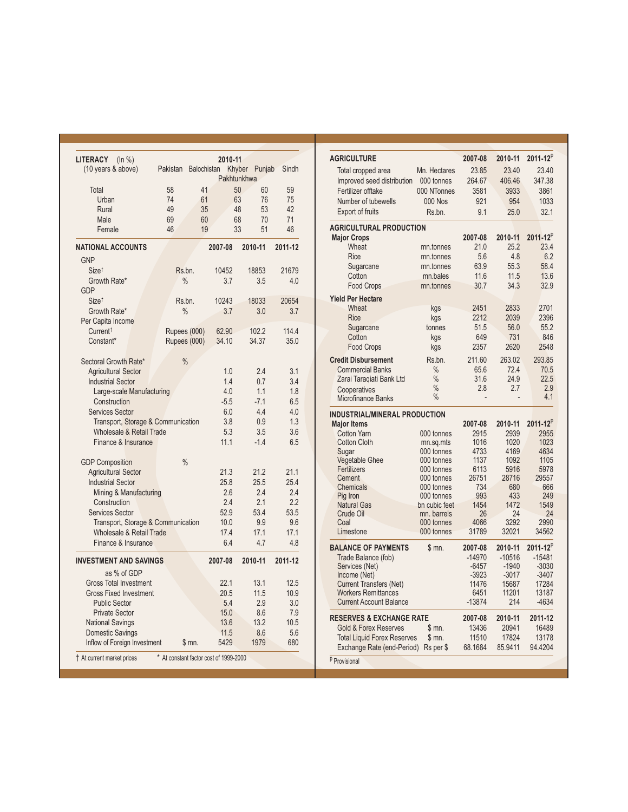| LITERACY<br>(ln % )<br>(10 years & above) | Pakistan                               | Balochistan | 2010-11     | Khyber Punjab  | Sindh    |
|-------------------------------------------|----------------------------------------|-------------|-------------|----------------|----------|
|                                           |                                        |             | Pakhtunkhwa |                |          |
| Total                                     | 58                                     | 41          |             | 50<br>60       | 59       |
| Urban                                     | 74                                     | 61          | 63          | 76             | 75       |
| Rural<br>Male                             | 49<br>69                               | 35<br>60    | 48          | 53<br>68<br>70 | 42<br>71 |
| Female                                    | 46                                     | 19          |             | 33<br>51       | 46       |
|                                           |                                        |             |             |                |          |
| <b>NATIONAL ACCOUNTS</b>                  |                                        |             | 2007-08     | 2010-11        | 2011-12  |
| <b>GNP</b>                                |                                        |             |             |                |          |
| Size <sup>t</sup>                         | Rs.bn.                                 |             | 10452       | 18853          | 21679    |
| Growth Rate*<br><b>GDP</b>                | $\frac{0}{0}$                          |             | 3.7         | 3.5            | 4.0      |
| Size <sup>t</sup>                         | Rs.bn.                                 |             | 10243       | 18033          | 20654    |
| Growth Rate*                              | $\frac{0}{0}$                          |             | 3.7         | 3.0            | 3.7      |
| Per Capita Income                         |                                        |             |             |                |          |
| Current <sup>†</sup>                      | Rupees (000)                           |             | 62.90       | 102.2          | 114.4    |
| Constant*                                 | Rupees (000)                           |             | 34.10       | 34.37          | 35.0     |
|                                           |                                        |             |             |                |          |
| Sectoral Growth Rate*                     | $\frac{0}{0}$                          |             |             |                |          |
| <b>Agricultural Sector</b>                |                                        |             | 1.0         | 2.4            | 3.1      |
| <b>Industrial Sector</b>                  |                                        |             | 1.4         | 0.7            | 3.4      |
| Large-scale Manufacturing                 |                                        |             | 4.0         | 1.1            | 1.8      |
| Construction                              |                                        |             | $-5.5$      | $-7.1$         | 6.5      |
| <b>Services Sector</b>                    |                                        |             | 6.0         | 4.4            | 4.0      |
| Transport, Storage & Communication        |                                        |             | 3.8         | 0.9            | 1.3      |
| <b>Wholesale &amp; Retail Trade</b>       |                                        |             | 5.3         | 3.5            | 3.6      |
| Finance & Insurance                       |                                        |             | 11.1        | $-1.4$         | 6.5      |
| <b>GDP Composition</b>                    | $\frac{0}{0}$                          |             |             |                |          |
| <b>Agricultural Sector</b>                |                                        |             | 21.3        | 21.2           | 21.1     |
| <b>Industrial Sector</b>                  |                                        |             | 25.8        | 25.5           | 25.4     |
| Mining & Manufacturing                    |                                        |             | 2.6         | 2.4            | 2.4      |
| Construction                              |                                        |             | 2.4         | 2.1            | 2.2      |
| <b>Services Sector</b>                    |                                        |             | 52.9        | 53.4           | 53.5     |
| Transport, Storage & Communication        |                                        |             | 10.0        | 9.9            | 9.6      |
| Wholesale & Retail Trade                  |                                        |             | 17.4        | 17.1           | 17.1     |
| Finance & Insurance                       |                                        |             | 6.4         | 4.7            | 4.8      |
| <b>INVESTMENT AND SAVINGS</b>             |                                        |             | 2007-08     | 2010-11        | 2011-12  |
| as % of GDP                               |                                        |             |             |                |          |
| <b>Gross Total Investment</b>             |                                        |             | 22.1        | 13.1           | 12.5     |
| <b>Gross Fixed Investment</b>             |                                        |             | 20.5        | 11.5           | 10.9     |
| <b>Public Sector</b>                      |                                        |             | 5.4         | 2.9            | 3.0      |
| <b>Private Sector</b>                     |                                        |             | 15.0        | 8.6            | 7.9      |
| <b>National Savings</b>                   |                                        |             | 13.6        | 13.2           | 10.5     |
| Domestic Savings                          |                                        |             | 11.5        | 8.6            | 5.6      |
| Inflow of Foreign Investment              |                                        | \$m.        | 5429        | 1979           | 680      |
| t At current market prices                | * At constant factor cost of 1999-2000 |             |             |                |          |

| <b>AGRICULTURE</b>                                               |                          | 2007-08          | 2010-11          | $2011 - 12^{p}$  |
|------------------------------------------------------------------|--------------------------|------------------|------------------|------------------|
| Total cropped area                                               | Mn. Hectares             | 23.85            | 23.40            | 23.40            |
| Improved seed distribution                                       | 000 tonnes               | 264.67           | 406.46           | 347.38           |
| Fertilizer offtake                                               | 000 NTonnes              | 3581             | 3933             | 3861             |
| Number of tubewells                                              | <b>000 Nos</b>           | 921              | 954              | 1033             |
| <b>Export of fruits</b>                                          | Rs.bn.                   | 9.1              | 25.0             | 32.1             |
|                                                                  |                          |                  |                  |                  |
| <b>AGRICULTURAL PRODUCTION</b>                                   |                          | 2007-08          | 2010-11          | $2011 - 12^{p}$  |
| <b>Major Crops</b><br>Wheat                                      | mn.tonnes                | 21.0             | 25.2             | 23.4             |
| <b>Rice</b>                                                      | mn.tonnes                | 5.6              | 4.8              | 6.2              |
| Sugarcane                                                        | mn.tonnes                | 63.9             | 55.3             | 58.4             |
| Cotton                                                           | mn.bales                 | 11.6             | 11.5             | 13.6             |
| Food Crops                                                       | mn.tonnes                | 30.7             | 34.3             | 32.9             |
| <b>Yield Per Hectare</b>                                         |                          |                  |                  |                  |
| Wheat                                                            | kgs                      | 2451             | 2833             | 2701             |
| <b>Rice</b>                                                      | kgs                      | 2212             | 2039             | 2396             |
| Sugarcane                                                        | tonnes                   | 51.5             | 56.0             | 55.2             |
| Cotton                                                           | kgs                      | 649              | 731              | 846              |
| <b>Food Crops</b>                                                | kgs                      | 2357             | 2620             | 2548             |
| <b>Credit Disbursement</b>                                       | Rs.bn.                   | 211.60           | 263.02           | 293.85           |
| <b>Commercial Banks</b>                                          | $\frac{0}{0}$            | 65.6             | 72.4             | 70.5             |
| Zarai Taraqiati Bank Ltd                                         | $\frac{0}{0}$            | 31.6             | 24.9             | 22.5             |
| Cooperatives                                                     | $\frac{0}{0}$            | 2.8              | 2.7              | 2.9              |
| Microfinance Banks                                               | $\frac{0}{0}$            | $\overline{a}$   |                  | 4.1              |
| <b>INDUSTRIAL/MINERAL PRODUCTION</b>                             |                          |                  |                  |                  |
| <b>Major Items</b>                                               |                          | 2007-08          | 2010-11          | $2011 - 12^{p}$  |
| <b>Cotton Yarn</b>                                               | 000 tonnes               | 2915             | 2939             | 2955             |
| <b>Cotton Cloth</b>                                              | mn.sq.mts                | 1016             | 1020             | 1023             |
| Sugar                                                            | 000 tonnes               | 4733             | 4169             | 4634             |
| <b>Vegetable Ghee</b><br>Fertilizers                             | 000 tonnes<br>000 tonnes | 1137             | 1092             | 1105<br>5978     |
| Cement                                                           | 000 tonnes               | 6113<br>26751    | 5916<br>28716    | 29557            |
| Chemicals                                                        | 000 tonnes               | 734              | 680              | 666              |
| Pig Iron                                                         | 000 tonnes               | 993              | 433              | 249              |
| <b>Natural Gas</b>                                               | bn cubic feet            | 1454             | 1472             | 1549             |
| Crude Oil                                                        | mn. barrels              | 26               | 24               | 24               |
| Coal                                                             | 000 tonnes               | 4066             | 3292             | 2990             |
| Limestone                                                        | 000 tonnes               | 31789            | 32021            | 34562            |
| <b>BALANCE OF PAYMENTS</b>                                       | \$ mn.                   | 2007-08          | 2010-11          | $2011 - 12^{p}$  |
| Trade Balance (fob)                                              |                          | $-14970$         | $-10516$         | $-15481$         |
| Services (Net)                                                   |                          | $-6457$          | $-1940$          | $-3030$          |
| Income (Net)                                                     |                          | $-3923$          | $-3017$          | -3407            |
| <b>Current Transfers (Net)</b>                                   |                          | 11476            | 15687            | 17284            |
| <b>Workers Remittances</b><br><b>Current Account Balance</b>     |                          | 6451<br>-13874   | 11201<br>214     | 13187<br>$-4634$ |
|                                                                  |                          |                  |                  |                  |
| <b>RESERVES &amp; EXCHANGE RATE</b>                              |                          | 2007-08          | 2010-11          | 2011-12          |
|                                                                  |                          |                  |                  |                  |
| <b>Gold &amp; Forex Reserves</b>                                 | \$m.                     | 13436            | 20941            | 16489            |
| <b>Total Liquid Forex Reserves</b><br>Exchange Rate (end-Period) | \$m.<br>Rs per \$        | 11510<br>68.1684 | 17824<br>85.9411 | 13178<br>94.4204 |

<sup>p</sup> Provisional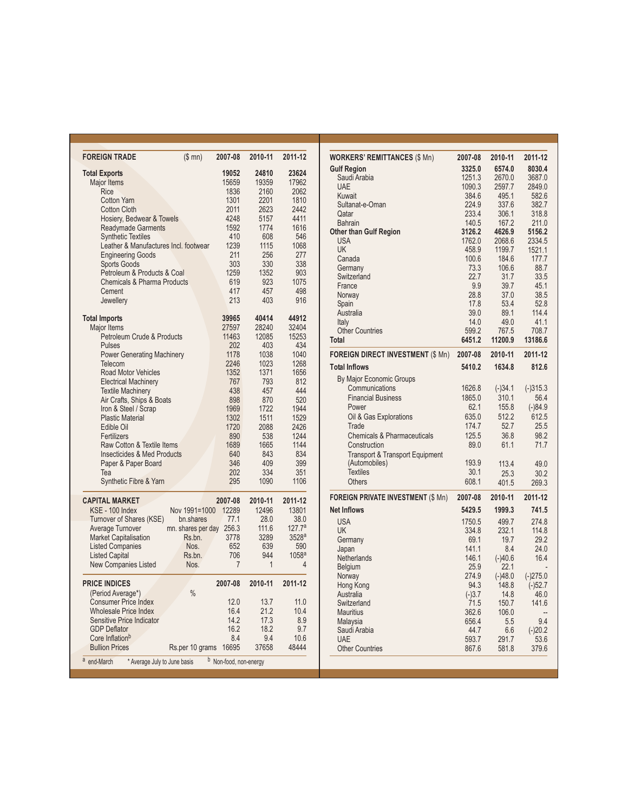| <b>FOREIGN TRADE</b>                             | (\$mn)             | 2007-08              | 2010-11 | 2011-12            |
|--------------------------------------------------|--------------------|----------------------|---------|--------------------|
| <b>Total Exports</b>                             |                    | 19052                | 24810   | 23624              |
| Major Items                                      |                    | 15659                | 19359   | 17962              |
| Rice                                             |                    | 1836                 | 2160    | 2062               |
| <b>Cotton Yarn</b>                               |                    | 1301                 | 2201    | 1810               |
| Cotton Cloth                                     |                    | 2011                 | 2623    | 2442               |
| Hosiery, Bedwear & Towels                        |                    | 4248                 | 5157    | 4411               |
|                                                  |                    |                      | 1774    | 1616               |
| <b>Readymade Garments</b>                        |                    | 1592                 |         |                    |
| <b>Synthetic Textiles</b>                        |                    | 410                  | 608     | 546                |
| Leather & Manufactures Incl. footwear            |                    | 1239                 | 1115    | 1068               |
| <b>Engineering Goods</b>                         |                    | 211                  | 256     | 277                |
| <b>Sports Goods</b>                              |                    | 303                  | 330     | 338                |
| Petroleum & Products & Coal                      |                    | 1259                 | 1352    | 903                |
| <b>Chemicals &amp; Pharma Products</b>           |                    | 619                  | 923     | 1075               |
| Cement                                           |                    | 417                  | 457     | 498                |
| Jewellery                                        |                    | 213                  | 403     | 916                |
|                                                  |                    |                      |         |                    |
| <b>Total Imports</b>                             |                    | 39965                | 40414   | 44912              |
| Major Items                                      |                    | 27597                | 28240   | 32404              |
| Petroleum Crude & Products                       |                    | 11463                | 12085   | 15253              |
| Pulses                                           |                    | 202                  | 403     | 434                |
| <b>Power Generating Machinery</b>                |                    | 1178                 | 1038    | 1040               |
| Telecom                                          |                    | 2246                 | 1023    | 1268               |
| <b>Road Motor Vehicles</b>                       |                    | 1352                 | 1371    | 1656               |
| <b>Electrical Machinery</b>                      |                    | 767                  | 793     | 812                |
| <b>Textile Machinery</b>                         |                    | 438                  | 457     | 444                |
| Air Crafts, Ships & Boats                        |                    | 898                  | 870     | 520                |
| Iron & Steel / Scrap                             |                    | 1969                 | 1722    | 1944               |
| <b>Plastic Material</b>                          |                    | 1302                 | 1511    | 1529               |
|                                                  |                    |                      |         |                    |
| Edible Oil                                       |                    | 1720                 | 2088    | 2426               |
| Fertilizers                                      |                    | 890                  | 538     | 1244               |
| Raw Cotton & Textile Items                       |                    | 1689                 | 1665    | 1144               |
| <b>Insecticides &amp; Med Products</b>           |                    | 640                  | 843     | 834                |
| Paper & Paper Board                              |                    | 346                  | 409     | 399                |
| Tea                                              |                    | 202                  | 334     | 351                |
| <b>Synthetic Fibre &amp; Yarn</b>                |                    | 295                  | 1090    | 1106               |
|                                                  |                    |                      |         |                    |
| <b>CAPITAL MARKET</b>                            |                    | 2007-08              | 2010-11 | 2011-12            |
| KSE - 100 Index                                  | Nov 1991=1000      | 12289                | 12496   | 13801              |
| Turnover of Shares (KSE)                         | bn.shares          | 77.1                 | 28.0    | 38.0               |
| Average Turnover                                 | mn. shares per day | 256.3                | 111.6   | 127.7 <sup>a</sup> |
| <b>Market Capitalisation</b>                     | Rs.bn.             | 3778                 | 3289    | 3528a              |
| <b>Listed Companies</b>                          | Nos.               | 652                  | 639     | 590                |
| <b>Listed Capital</b>                            | Rs.bn.             | 706                  | 944     | 1058 <sup>a</sup>  |
| <b>New Companies Listed</b>                      | Nos.               | $\overline{7}$       | 1       | 4                  |
|                                                  |                    |                      |         |                    |
| <b>PRICE INDICES</b>                             | $\frac{0}{0}$      | 2007-08              | 2010-11 | 2011-12            |
| (Period Average*)<br><b>Consumer Price Index</b> |                    | 12.0                 |         |                    |
|                                                  |                    |                      | 13.7    | 11.0               |
| <b>Wholesale Price Index</b>                     |                    | 16.4                 | 21.2    | 10.4               |
| Sensitive Price Indicator                        |                    | 14.2                 | 17.3    | 8.9                |
| <b>GDP Deflator</b>                              |                    | 16.2                 | 18.2    | 9.7                |
| Core Inflation <sup>b</sup>                      |                    | 8.4                  | 9.4     | 10.6               |
| <b>Bullion Prices</b>                            | Rs.per 10 grams    | 16695                | 37658   | 48444              |
| a<br>* Average July to June basis<br>end-March   | b                  | Non-food, non-energy |         |                    |

| <b>WORKERS' REMITTANCES (\$ Mn)</b>        | 2007-08         | 2010-11          | 2011-12           |
|--------------------------------------------|-----------------|------------------|-------------------|
| <b>Gulf Region</b>                         | 3325.0          | 6574.0           | 8030.4            |
| Saudi Arabia                               | 1251.3          | 2670.0           | 3687.0            |
| <b>UAE</b>                                 | 1090.3          | 2597.7           | 2849.0            |
| Kuwait                                     | 384.6           | 495.1            | 582.6             |
| Sultanat-e-Oman                            | 224.9           | 337.6            | 382.7             |
| Qatar                                      | 233.4           | 306.1            | 318.8             |
| <b>Bahrain</b>                             | 140.5           | 167.2            | 211.0             |
| <b>Other than Gulf Region</b>              | 3126.2          | 4626.9           | 5156.2            |
| <b>USA</b><br><b>UK</b>                    | 1762.0<br>458.9 | 2068.6<br>1199.7 | 2334.5<br>1521.1  |
| Canada                                     | 100.6           | 184.6            | 177.7             |
| Germany                                    | 73.3            | 106.6            | 88.7              |
| Switzerland                                | 22.7            | 31.7             | 33.5              |
| France                                     | 9.9             | 39.7             | 45.1              |
| Norway                                     | 28.8            | 37.0             | 38.5              |
| Spain                                      | 17.8            | 53.4             | 52.8              |
| Australia                                  | 39.0            | 89.1             | 114.4             |
| Italy                                      | 14.0            | 49.0             | 41.1              |
| <b>Other Countries</b>                     | 599.2           | 767.5            | 708.7             |
| Total                                      | 6451.2          | 11200.9          | 13186.6           |
| <b>FOREIGN DIRECT INVESTMENT (\$ Mn)</b>   | 2007-08         | 2010-11          | 2011-12           |
| <b>Total Inflows</b>                       | 5410.2          | 1634.8           | 812.6             |
| By Major Economic Groups                   |                 |                  |                   |
| Communications                             | 1626.8          | $(-)34.1$        | $(-)315.3$        |
| <b>Financial Business</b>                  | 1865.0          | 310.1            | 56.4              |
| Power                                      | 62.1            | 155.8            | $(-)84.9$         |
| Oil & Gas Explorations                     | 635.0           | 512.2            | 612.5             |
| Trade                                      | 174.7           | 52.7             | 25.5              |
| <b>Chemicals &amp; Pharmaceuticals</b>     | 125.5           | 36.8             | 98.2              |
| Construction                               | 89.0            | 61.1             | 71.7              |
| <b>Transport &amp; Transport Equipment</b> |                 |                  |                   |
| (Automobiles)                              | 193.9           | 113.4            | 49.0              |
| <b>Textiles</b>                            | 30.1            | 25.3             | 30.2              |
| <b>Others</b>                              | 608.1           | 401.5            | 269.3             |
| <b>FOREIGN PRIVATE INVESTMENT (\$ Mn)</b>  | 2007-08         | 2010-11          | 2011-12           |
| <b>Net Inflows</b>                         | 5429.5          | 1999.3           | 741.5             |
| <b>USA</b>                                 | 1750.5          | 499.7            | 274.8             |
| <b>UK</b>                                  | 334.8           | 232.1            | 114.8             |
| Germany                                    | 69.1            | 19.7             | 29.2              |
| Japan                                      | 141.1           | 8.4              | 24.0              |
| Netherlands                                | 146.1           | $(-)40.6$        | 16.4              |
| Belgium                                    | 25.9            | 22.1             |                   |
| Norway                                     | 274.9           | $(-)48.0$        | $(-)275.0$        |
| Hong Kong                                  | 94.3            | 148.8            | $(-)52.7$         |
| Australia                                  | $(-)3.7$        | 14.8             | 46.0              |
| Switzerland                                | 71.5            | 150.7            | 141.6             |
| <b>Mauritius</b>                           | 362.6           | 106.0            | 9.4               |
| Malaysia<br>Saudi Arabia                   | 656.4<br>44.7   | 5.5<br>6.6       |                   |
| <b>UAF</b>                                 | 593.7           | 291.7            | $(-)20.2$<br>53.6 |
| <b>Other Countries</b>                     | 867.6           | 581.8            | 379.6             |
|                                            |                 |                  |                   |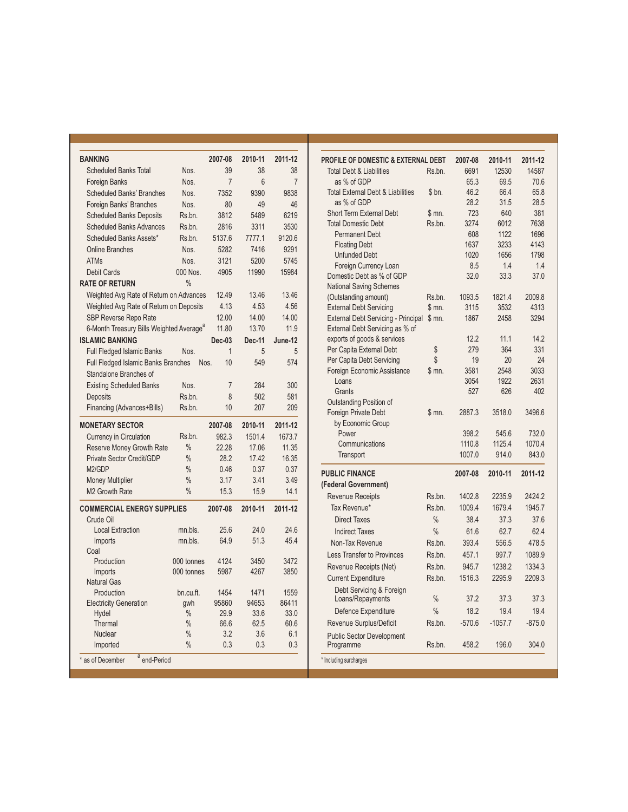| <b>BANKING</b>                                       |               | 2007-08        | 2010-11 | 2011-12        |
|------------------------------------------------------|---------------|----------------|---------|----------------|
| <b>Scheduled Banks Total</b>                         | Nos.          | 39             | 38      | 38             |
| <b>Foreign Banks</b>                                 | Nos.          | $\overline{7}$ | 6       | $\overline{7}$ |
| <b>Scheduled Banks' Branches</b>                     | Nos.          | 7352           | 9390    | 9838           |
| Foreign Banks' Branches                              | Nos.          | 80             | 49      | 46             |
| <b>Scheduled Banks Deposits</b>                      | Rs.bn.        | 3812           | 5489    | 6219           |
| <b>Scheduled Banks Advances</b>                      | Rs.bn.        | 2816           | 3311    | 3530           |
| Scheduled Banks Assets*                              | Rs.bn.        | 5137.6         | 7777.1  | 9120.6         |
| <b>Online Branches</b>                               | Nos.          | 5282           | 7416    | 9291           |
| <b>ATMs</b>                                          | Nos.          | 3121           | 5200    | 5745           |
| Debit Cards                                          | 000 Nos.      | 4905           | 11990   | 15984          |
| <b>RATE OF RETURN</b>                                | $\frac{0}{0}$ |                |         |                |
| Weighted Avg Rate of Return on Advances              |               | 12.49          | 13.46   | 13.46          |
| Weighted Avg Rate of Return on Deposits              |               | 4.13           | 4.53    | 4.56           |
| SBP Reverse Repo Rate                                |               | 12.00          | 14.00   | 14.00          |
| 6-Month Treasury Bills Weighted Average <sup>a</sup> |               | 11.80          | 13.70   | 11.9           |
| <b>ISLAMIC BANKING</b>                               |               | $Dec-03$       | Dec-11  | June-12        |
| <b>Full Fledged Islamic Banks</b>                    | Nos.          | 1              | 5       | 5              |
| Full Fledged Islamic Banks Branches                  | Nos.          | 10             | 549     | 574            |
| Standalone Branches of                               |               |                |         |                |
| <b>Existing Scheduled Banks</b>                      | Nos.          | $\overline{7}$ | 284     | 300            |
|                                                      |               |                |         |                |
| Deposits                                             | Rs.bn.        | 8              | 502     | 581            |
| Financing (Advances+Bills)                           | Rs.bn.        | 10             | 207     | 209            |
| <b>MONETARY SECTOR</b>                               |               | 2007-08        | 2010-11 | 2011-12        |
| Currency in Circulation                              | Rs.bn.        | 982.3          | 1501.4  | 1673.7         |
| Reserve Money Growth Rate                            | $\frac{0}{0}$ | 22.28          | 17.06   | 11.35          |
| Private Sector Credit/GDP                            | $\frac{0}{0}$ | 28.2           | 17.42   | 16.35          |
| M <sub>2</sub> /GDP                                  | $\frac{0}{0}$ | 0.46           | 0.37    | 0.37           |
| <b>Money Multiplier</b>                              | $\frac{0}{0}$ | 3.17           | 3.41    | 3.49           |
| M2 Growth Rate                                       | $\frac{0}{0}$ | 15.3           | 15.9    | 14.1           |
| <b>COMMERCIAL ENERGY SUPPLIES</b>                    |               | 2007-08        | 2010-11 | 2011-12        |
| Crude Oil                                            |               |                |         |                |
| <b>Local Extraction</b>                              | mn.bls.       | 25.6           | 24.0    | 24.6           |
| Imports                                              | mn.bls.       | 64.9           | 51.3    | 45.4           |
| Coal                                                 |               |                |         |                |
| Production                                           | 000 tonnes    | 4124           | 3450    | 3472           |
| Imports                                              | 000 tonnes    | 5987           | 4267    | 3850           |
| <b>Natural Gas</b>                                   |               |                |         |                |
| Production                                           | bn.cu.ft.     | 1454           | 1471    | 1559           |
| <b>Electricity Generation</b>                        | gwh           | 95860          | 94653   | 86411          |
| Hydel                                                | $\%$          | 29.9           | 33.6    | 33.0           |
| Thermal                                              | $\frac{0}{0}$ | 66.6           | 62.5    | 60.6           |
| <b>Nuclear</b>                                       | $\frac{0}{0}$ | 3.2            | 3.6     | 6.1            |
| Imported                                             | $\frac{0}{0}$ | 0.3            | 0.3     | 0.3            |
| <sup>a</sup> end-Period<br>* as of December          |               |                |         |                |

| <b>PROFILE OF DOMESTIC &amp; EXTERNAL DEBT</b><br><b>Total Debt &amp; Liabilities</b><br>Rs.bn.<br>as % of GDP<br><b>Total External Debt &amp; Liabilities</b><br>\$bn.<br>as % of GDP<br><b>Short Term External Debt</b><br>$$m0$ .<br><b>Total Domestic Debt</b><br>Rs.bn.<br><b>Permanent Debt</b><br><b>Floating Debt</b><br><b>Unfunded Debt</b><br>Foreign Currency Loan<br>Domestic Debt as % of GDP<br><b>National Saving Schemes</b><br>(Outstanding amount)<br>Rs.bn.<br><b>External Debt Servicing</b><br>\$m.<br><b>External Debt Servicing - Principal</b><br>\$mn.<br>External Debt Servicing as % of<br>exports of goods & services<br>Per Capita External Debt<br>\$<br>\$<br>Per Capita Debt Servicing | 2007-08<br>6691<br>65.3<br>46.2<br>28.2<br>723<br>3274<br>608<br>1637<br>1020<br>8.5<br>32.0<br>1093.5<br>3115<br>1867<br>12.2 | 2010-11<br>12530<br>69.5<br>66.4<br>31.5<br>640<br>6012<br>1122<br>3233<br>1656<br>1.4<br>33.3<br>1821.4<br>3532<br>2458 | 2011-12<br>14587<br>70.6<br>65.8<br>28.5<br>381<br>7638<br>1696<br>4143<br>1798<br>1.4<br>37.0<br>2009.8<br>4313<br>3294 |
|-------------------------------------------------------------------------------------------------------------------------------------------------------------------------------------------------------------------------------------------------------------------------------------------------------------------------------------------------------------------------------------------------------------------------------------------------------------------------------------------------------------------------------------------------------------------------------------------------------------------------------------------------------------------------------------------------------------------------|--------------------------------------------------------------------------------------------------------------------------------|--------------------------------------------------------------------------------------------------------------------------|--------------------------------------------------------------------------------------------------------------------------|
|                                                                                                                                                                                                                                                                                                                                                                                                                                                                                                                                                                                                                                                                                                                         |                                                                                                                                |                                                                                                                          |                                                                                                                          |
|                                                                                                                                                                                                                                                                                                                                                                                                                                                                                                                                                                                                                                                                                                                         |                                                                                                                                |                                                                                                                          |                                                                                                                          |
|                                                                                                                                                                                                                                                                                                                                                                                                                                                                                                                                                                                                                                                                                                                         |                                                                                                                                |                                                                                                                          |                                                                                                                          |
|                                                                                                                                                                                                                                                                                                                                                                                                                                                                                                                                                                                                                                                                                                                         |                                                                                                                                |                                                                                                                          |                                                                                                                          |
|                                                                                                                                                                                                                                                                                                                                                                                                                                                                                                                                                                                                                                                                                                                         |                                                                                                                                |                                                                                                                          |                                                                                                                          |
|                                                                                                                                                                                                                                                                                                                                                                                                                                                                                                                                                                                                                                                                                                                         |                                                                                                                                |                                                                                                                          |                                                                                                                          |
|                                                                                                                                                                                                                                                                                                                                                                                                                                                                                                                                                                                                                                                                                                                         |                                                                                                                                |                                                                                                                          |                                                                                                                          |
|                                                                                                                                                                                                                                                                                                                                                                                                                                                                                                                                                                                                                                                                                                                         |                                                                                                                                |                                                                                                                          |                                                                                                                          |
|                                                                                                                                                                                                                                                                                                                                                                                                                                                                                                                                                                                                                                                                                                                         |                                                                                                                                |                                                                                                                          |                                                                                                                          |
|                                                                                                                                                                                                                                                                                                                                                                                                                                                                                                                                                                                                                                                                                                                         |                                                                                                                                |                                                                                                                          |                                                                                                                          |
|                                                                                                                                                                                                                                                                                                                                                                                                                                                                                                                                                                                                                                                                                                                         |                                                                                                                                |                                                                                                                          |                                                                                                                          |
|                                                                                                                                                                                                                                                                                                                                                                                                                                                                                                                                                                                                                                                                                                                         |                                                                                                                                |                                                                                                                          |                                                                                                                          |
|                                                                                                                                                                                                                                                                                                                                                                                                                                                                                                                                                                                                                                                                                                                         |                                                                                                                                |                                                                                                                          |                                                                                                                          |
|                                                                                                                                                                                                                                                                                                                                                                                                                                                                                                                                                                                                                                                                                                                         |                                                                                                                                |                                                                                                                          |                                                                                                                          |
|                                                                                                                                                                                                                                                                                                                                                                                                                                                                                                                                                                                                                                                                                                                         |                                                                                                                                |                                                                                                                          |                                                                                                                          |
|                                                                                                                                                                                                                                                                                                                                                                                                                                                                                                                                                                                                                                                                                                                         |                                                                                                                                |                                                                                                                          |                                                                                                                          |
|                                                                                                                                                                                                                                                                                                                                                                                                                                                                                                                                                                                                                                                                                                                         |                                                                                                                                |                                                                                                                          |                                                                                                                          |
|                                                                                                                                                                                                                                                                                                                                                                                                                                                                                                                                                                                                                                                                                                                         |                                                                                                                                | 11.1                                                                                                                     | 14.2                                                                                                                     |
|                                                                                                                                                                                                                                                                                                                                                                                                                                                                                                                                                                                                                                                                                                                         | 279                                                                                                                            | 364                                                                                                                      | 331                                                                                                                      |
|                                                                                                                                                                                                                                                                                                                                                                                                                                                                                                                                                                                                                                                                                                                         | 19                                                                                                                             | 20                                                                                                                       | 24                                                                                                                       |
| Foreign Economic Assistance<br>\$m.                                                                                                                                                                                                                                                                                                                                                                                                                                                                                                                                                                                                                                                                                     | 3581                                                                                                                           | 2548                                                                                                                     | 3033                                                                                                                     |
| Loans<br>Grants                                                                                                                                                                                                                                                                                                                                                                                                                                                                                                                                                                                                                                                                                                         | 3054<br>527                                                                                                                    | 1922<br>626                                                                                                              | 2631<br>402                                                                                                              |
| Outstanding Position of                                                                                                                                                                                                                                                                                                                                                                                                                                                                                                                                                                                                                                                                                                 |                                                                                                                                |                                                                                                                          |                                                                                                                          |
| Foreign Private Debt<br>$$m0$ .                                                                                                                                                                                                                                                                                                                                                                                                                                                                                                                                                                                                                                                                                         | 2887.3                                                                                                                         | 3518.0                                                                                                                   | 3496.6                                                                                                                   |
| by Economic Group                                                                                                                                                                                                                                                                                                                                                                                                                                                                                                                                                                                                                                                                                                       |                                                                                                                                |                                                                                                                          |                                                                                                                          |
| Power                                                                                                                                                                                                                                                                                                                                                                                                                                                                                                                                                                                                                                                                                                                   | 398.2                                                                                                                          | 545.6                                                                                                                    | 732.0                                                                                                                    |
| Communications                                                                                                                                                                                                                                                                                                                                                                                                                                                                                                                                                                                                                                                                                                          | 1110.8                                                                                                                         | 1125.4                                                                                                                   | 1070.4                                                                                                                   |
| Transport                                                                                                                                                                                                                                                                                                                                                                                                                                                                                                                                                                                                                                                                                                               | 1007.0                                                                                                                         | 914.0                                                                                                                    | 843.0                                                                                                                    |
| <b>UBLIC FINANCE</b>                                                                                                                                                                                                                                                                                                                                                                                                                                                                                                                                                                                                                                                                                                    | 2007-08                                                                                                                        | 2010-11                                                                                                                  | 2011-12                                                                                                                  |
| Federal Government)                                                                                                                                                                                                                                                                                                                                                                                                                                                                                                                                                                                                                                                                                                     |                                                                                                                                |                                                                                                                          |                                                                                                                          |
| <b>Revenue Receipts</b><br>Rs.bn.                                                                                                                                                                                                                                                                                                                                                                                                                                                                                                                                                                                                                                                                                       | 1402.8                                                                                                                         | 2235.9                                                                                                                   | 2424.2                                                                                                                   |
| Tax Revenue*<br>Rs.bn.                                                                                                                                                                                                                                                                                                                                                                                                                                                                                                                                                                                                                                                                                                  | 1009.4                                                                                                                         | 1679.4                                                                                                                   | 1945.7                                                                                                                   |
| <b>Direct Taxes</b><br>$\frac{0}{0}$                                                                                                                                                                                                                                                                                                                                                                                                                                                                                                                                                                                                                                                                                    | 38.4                                                                                                                           | 37.3                                                                                                                     | 37.6                                                                                                                     |
| $\frac{0}{0}$<br><b>Indirect Taxes</b>                                                                                                                                                                                                                                                                                                                                                                                                                                                                                                                                                                                                                                                                                  | 61.6                                                                                                                           | 62.7                                                                                                                     | 62.4                                                                                                                     |
| Non-Tax Revenue<br>Rs.bn.                                                                                                                                                                                                                                                                                                                                                                                                                                                                                                                                                                                                                                                                                               | 393.4                                                                                                                          | 556.5                                                                                                                    | 478.5                                                                                                                    |
| Less Transfer to Provinces<br>Rs.bn.                                                                                                                                                                                                                                                                                                                                                                                                                                                                                                                                                                                                                                                                                    | 457.1                                                                                                                          | 997.7                                                                                                                    | 1089.9                                                                                                                   |
| Revenue Receipts (Net)<br>Rs.bn.                                                                                                                                                                                                                                                                                                                                                                                                                                                                                                                                                                                                                                                                                        | 945.7                                                                                                                          | 1238.2                                                                                                                   | 1334.3                                                                                                                   |
| Rs.bn.                                                                                                                                                                                                                                                                                                                                                                                                                                                                                                                                                                                                                                                                                                                  |                                                                                                                                |                                                                                                                          | 2209.3                                                                                                                   |
| <b>Current Expenditure</b>                                                                                                                                                                                                                                                                                                                                                                                                                                                                                                                                                                                                                                                                                              | 1516.3                                                                                                                         | 2295.9                                                                                                                   |                                                                                                                          |
| Debt Servicing & Foreign<br>$\frac{0}{0}$<br>Loans/Repayments                                                                                                                                                                                                                                                                                                                                                                                                                                                                                                                                                                                                                                                           | 37.2                                                                                                                           | 37.3                                                                                                                     | 37.3                                                                                                                     |
| $\frac{0}{0}$<br>Defence Expenditure                                                                                                                                                                                                                                                                                                                                                                                                                                                                                                                                                                                                                                                                                    | 18.2                                                                                                                           | 19.4                                                                                                                     | 19.4                                                                                                                     |
| Revenue Surplus/Deficit<br>Rs.bn.                                                                                                                                                                                                                                                                                                                                                                                                                                                                                                                                                                                                                                                                                       | $-570.6$                                                                                                                       | $-1057.7$                                                                                                                | $-875.0$                                                                                                                 |
| <b>Public Sector Development</b><br>Rs.bn.<br>Programme                                                                                                                                                                                                                                                                                                                                                                                                                                                                                                                                                                                                                                                                 | 458.2                                                                                                                          | 196.0                                                                                                                    | 304.0                                                                                                                    |
|                                                                                                                                                                                                                                                                                                                                                                                                                                                                                                                                                                                                                                                                                                                         |                                                                                                                                |                                                                                                                          |                                                                                                                          |

p